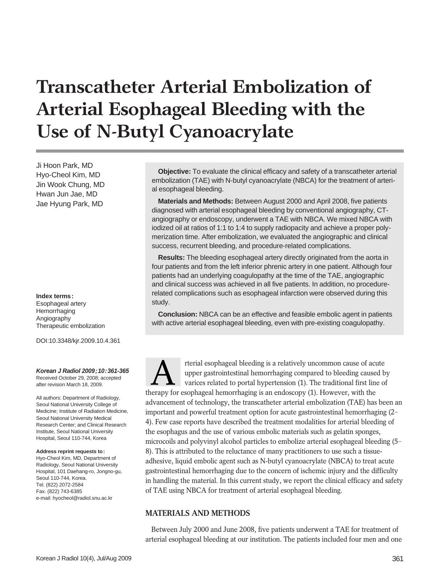# **Transcatheter Arterial Embolization of Arterial Esophageal Bleeding with the Use of N-Butyl Cyanoacrylate**

Ji Hoon Park, MD Hyo-Cheol Kim, MD Jin Wook Chung, MD Hwan Jun Jae, MD Jae Hyung Park, MD

**Index terms:** Esophageal artery Hemorrhaging Angiography Therapeutic embolization

DOI:10.3348/kjr.2009.10.4.361

**Korean J Radiol 2009;10:361-365** Received October 29, 2008; accepted after revision March 18, 2009.

All authors: Department of Radiology, Seoul National University College of Medicine; Institute of Radiation Medicine, Seoul National University Medical Research Center; and Clinical Research Institute, Seoul National University Hospital, Seoul 110-744, Korea

**Address reprint requests to:** Hyo-Cheol Kim, MD, Department of Radiology, Seoul National University Hospital, 101 Daehang-ro, Jongno-gu, Seoul 110-744, Korea. Tel. (822) 2072-2584 Fax. (822) 743-6385 e-mail: hyocheol@radiol.snu.ac.kr

**Objective:** To evaluate the clinical efficacy and safety of a transcatheter arterial embolization (TAE) with N-butyl cyanoacrylate (NBCA) for the treatment of arterial esophageal bleeding.

**Materials and Methods:** Between August 2000 and April 2008, five patients diagnosed with arterial esophageal bleeding by conventional angiography, CTangiography or endoscopy, underwent a TAE with NBCA. We mixed NBCA with iodized oil at ratios of 1:1 to 1:4 to supply radiopacity and achieve a proper polymerization time. After embolization, we evaluated the angiographic and clinical success, recurrent bleeding, and procedure-related complications.

**Results:** The bleeding esophageal artery directly originated from the aorta in four patients and from the left inferior phrenic artery in one patient. Although four patients had an underlying coagulopathy at the time of the TAE, angiographic and clinical success was achieved in all five patients. In addition, no procedurerelated complications such as esophageal infarction were observed during this study.

**Conclusion:** NBCA can be an effective and feasible embolic agent in patients with active arterial esophageal bleeding, even with pre-existing coagulopathy.

rterial esophageal bleeding is a relatively uncommon cause of acute upper gastrointestinal hemorrhaging compared to bleeding caused by varices related to portal hypertension (1). The traditional first line of tterial esophageal bleeding is a relatively uncommon cause of accept to the upper gastrointestinal hemorrhaging compared to bleeding cause varices related to portal hypertension (1). The traditional first line therapy for advancement of technology, the transcatheter arterial embolization (TAE) has been an important and powerful treatment option for acute gastrointestinal hemorrhaging (2- 4). Few case reports have described the treatment modalities for arterial bleeding of the esophagus and the use of various embolic materials such as gelatin sponges, microcoils and polyvinyl alcohol particles to embolize arterial esophageal bleeding (5- 8). This is attributed to the reluctance of many practitioners to use such a tissueadhesive, liquid embolic agent such as N-butyl cyanoacrylate (NBCA) to treat acute gastrointestinal hemorrhaging due to the concern of ischemic injury and the difficulty in handling the material. In this current study, we report the clinical efficacy and safety of TAE using NBCA for treatment of arterial esophageal bleeding.

## **MATERIALS AND METHODS**

Between July 2000 and June 2008, five patients underwent a TAE for treatment of arterial esophageal bleeding at our institution. The patients included four men and one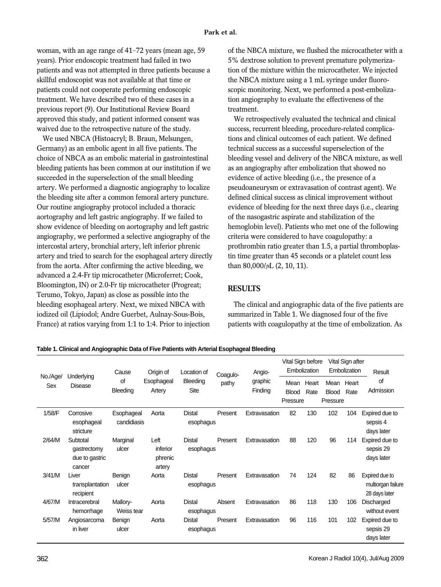woman, with an age range of 41-72 years (mean age, 59 years). Prior endoscopic treatment had failed in two patients and was not attempted in three patients because a skillful endoscopist was not available at that time or patients could not cooperate performing endoscopic treatment. We have described two of these cases in a previous report (9). Our Institutional Review Board approved this study, and patient informed consent was waived due to the retrospective nature of the study.

We used NBCA (Histoacryl; B. Braun, Melsungen, Germany) as an embolic agent in all five patients. The choice of NBCA as an embolic material in gastrointestinal bleeding patients has been common at our institution if we succeeded in the superselection of the small bleeding artery. We performed a diagnostic angiography to localize the bleeding site after a common femoral artery puncture. Our routine angiography protocol included a thoracic aortography and left gastric angiography. If we failed to show evidence of bleeding on aortography and left gastric angiography, we performed a selective angiography of the intercostal artery, bronchial artery, left inferior phrenic artery and tried to search for the esophageal artery directly from the aorta. After confirming the active bleeding, we advanced a 2.4-Fr tip microcatheter (Microferret; Cook, Bloomington, IN) or 2.0-Fr tip microcatheter (Progreat; Terumo, Tokyo, Japan) as close as possible into the bleeding esophageal artery. Next, we mixed NBCA with iodized oil (Lipiodol; Andre Guerbet, Aulnay-Sous-Bois, France) at ratios varying from 1:1 to 1:4. Prior to injection

of the NBCA mixture, we flushed the microcatheter with a 5% dextrose solution to prevent premature polymerization of the mixture within the microcatheter. We injected the NBCA mixture using a 1 mL syringe under fluoroscopic monitoring. Next, we performed a post-embolization angiography to evaluate the effectiveness of the treatment.

We retrospectively evaluated the technical and clinical success, recurrent bleeding, procedure-related complications and clinical outcomes of each patient. We defined technical success as a successful superselection of the bleeding vessel and delivery of the NBCA mixture, as well as an angiography after embolization that showed no evidence of active bleeding (i.e., the presence of a pseudoaneurysm or extravasation of contrast agent). We defined clinical success as clinical improvement without evidence of bleeding for the next three days (i.e., clearing of the nasogastric aspirate and stabilization of the hemoglobin level). Patients who met one of the following criteria were considered to have coagulopathy: a prothrombin ratio greater than 1.5, a partial thromboplastin time greater than 45 seconds or a platelet count less than  $80,000/\mu L$  (2, 10, 11).

## **RESULTS**

The clinical and angiographic data of the five patients are summarized in Table 1. We diagnosed four of the five patients with coagulopathy at the time of embolization. As

| No./Age/<br>Sex | Underlying<br><b>Disease</b>                        | Cause<br>of<br>Bleeding   | Origin of<br>Esophageal<br>Artery     | Location of<br>Bleeding<br><b>Site</b> | Coagulo-<br>pathy | Angio-<br>graphic<br>Finding | Vital Sign before<br>Embolization |               | Vital Sign after<br>Embolization |               | Result                                                |
|-----------------|-----------------------------------------------------|---------------------------|---------------------------------------|----------------------------------------|-------------------|------------------------------|-----------------------------------|---------------|----------------------------------|---------------|-------------------------------------------------------|
|                 |                                                     |                           |                                       |                                        |                   |                              | Mean<br><b>Blood</b><br>Pressure  | Heart<br>Rate | Mean<br><b>Blood</b><br>Pressure | Heart<br>Rate | of<br>Admission                                       |
| 1/58/F          | Corrosive<br>esophageal<br>stricture                | Esophageal<br>candidiasis | Aorta                                 | <b>Distal</b><br>esophagus             | Present           | Extravasation                | 82                                | 130           | 102                              | 104           | Expired due to<br>sepsis 4<br>days later              |
| 2/64/M          | Subtotal<br>gastrectomy<br>due to gastric<br>cancer | Marginal<br>ulcer         | Left<br>inferior<br>phrenic<br>artery | <b>Distal</b><br>esophagus             | Present           | Extravasation                | 88                                | 120           | 96                               | 114           | Expired due to<br>sepsis 29<br>days later             |
| 3/41/M          | Liver<br>transplantation<br>recipient               | Benign<br>ulcer           | Aorta                                 | <b>Distal</b><br>esophagus             | Present           | Extravasation                | 74                                | 124           | 82                               | 86            | Expired due to<br>multiorgan failure<br>28 days later |
| 4/67/M          | Intracerebral<br>hemorrhage                         | Mallory-<br>Weiss tear    | Aorta                                 | <b>Distal</b><br>esophagus             | Absent            | Extravasation                | 86                                | 118           | 130                              | 106           | Discharged<br>without event                           |
| 5/57/M          | Angiosarcoma<br>in liver                            | Benign<br>ulcer           | Aorta                                 | Distal<br>esophagus                    | Present           | Extravasation                | 96                                | 116           | 101                              | 102           | Expired due to<br>sepsis 29<br>days later             |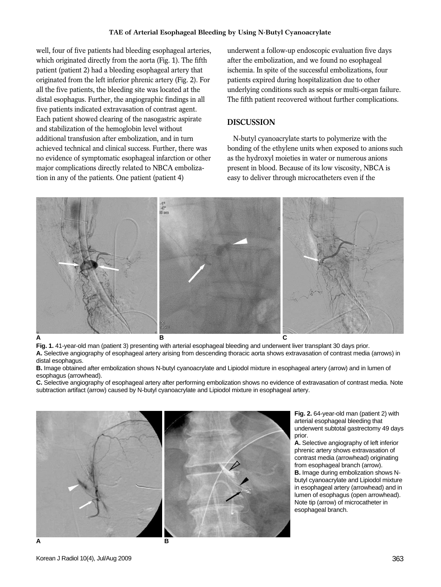well, four of five patients had bleeding esophageal arteries, which originated directly from the aorta (Fig. 1). The fifth patient (patient 2) had a bleeding esophageal artery that originated from the left inferior phrenic artery (Fig. 2). For all the five patients, the bleeding site was located at the distal esophagus. Further, the angiographic findings in all five patients indicated extravasation of contrast agent. Each patient showed clearing of the nasogastric aspirate and stabilization of the hemoglobin level without additional transfusion after embolization, and in turn achieved technical and clinical success. Further, there was no evidence of symptomatic esophageal infarction or other major complications directly related to NBCA embolization in any of the patients. One patient (patient 4)

underwent a follow-up endoscopic evaluation five days after the embolization, and we found no esophageal ischemia. In spite of the successful embolizations, four patients expired during hospitalization due to other underlying conditions such as sepsis or multi-organ failure. The fifth patient recovered without further complications.

#### **DISCUSSION**

N-butyl cyanoacrylate starts to polymerize with the bonding of the ethylene units when exposed to anions such as the hydroxyl moieties in water or numerous anions present in blood. Because of its low viscosity, NBCA is easy to deliver through microcatheters even if the



**Fig. 1.** 41-year-old man (patient 3) presenting with arterial esophageal bleeding and underwent liver transplant 30 days prior. **A.** Selective angiography of esophageal artery arising from descending thoracic aorta shows extravasation of contrast media (arrows) in distal esophagus.

**B.** Image obtained after embolization shows N-butyl cyanoacrylate and Lipiodol mixture in esophageal artery (arrow) and in lumen of esophagus (arrowhead).

**C.** Selective angiography of esophageal artery after performing embolization shows no evidence of extravasation of contrast media. Note subtraction artifact (arrow) caused by N-butyl cyanoacrylate and Lipiodol mixture in esophageal artery.



**Fig. 2.** 64-year-old man (patient 2) with arterial esophageal bleeding that underwent subtotal gastrectomy 49 days prior.

**A.** Selective angiography of left inferior phrenic artery shows extravasation of contrast media (arrowhead) originating from esophageal branch (arrow). **B.** Image during embolization shows Nbutyl cyanoacrylate and Lipiodol mixture in esophageal artery (arrowhead) and in lumen of esophagus (open arrowhead). Note tip (arrow) of microcatheter in esophageal branch.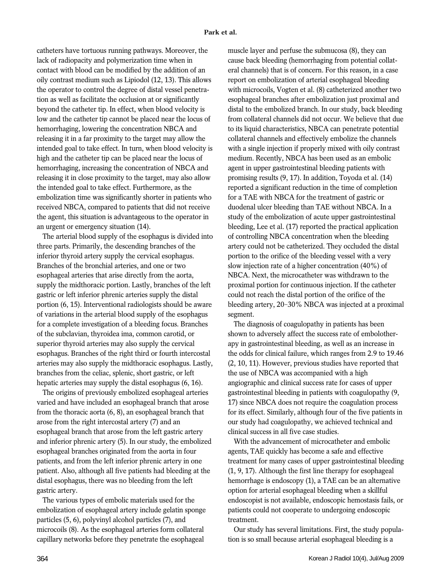catheters have tortuous running pathways. Moreover, the lack of radiopacity and polymerization time when in contact with blood can be modified by the addition of an oily contrast medium such as Lipiodol (12, 13). This allows the operator to control the degree of distal vessel penetration as well as facilitate the occlusion at or significantly beyond the catheter tip. In effect, when blood velocity is low and the catheter tip cannot be placed near the locus of hemorrhaging, lowering the concentration NBCA and releasing it in a far proximity to the target may allow the intended goal to take effect. In turn, when blood velocity is high and the catheter tip can be placed near the locus of hemorrhaging, increasing the concentration of NBCA and releasing it in close proximity to the target, may also allow the intended goal to take effect. Furthermore, as the embolization time was significantly shorter in patients who received NBCA, compared to patients that did not receive the agent, this situation is advantageous to the operator in an urgent or emergency situation (14).

The arterial blood supply of the esophagus is divided into three parts. Primarily, the descending branches of the inferior thyroid artery supply the cervical esophagus. Branches of the bronchial arteries, and one or two esophageal arteries that arise directly from the aorta, supply the midthoracic portion. Lastly, branches of the left gastric or left inferior phrenic arteries supply the distal portion (6, 15). Interventional radiologists should be aware of variations in the arterial blood supply of the esophagus for a complete investigation of a bleeding focus. Branches of the subclavian, thyroidea ima, common carotid, or superior thyroid arteries may also supply the cervical esophagus. Branches of the right third or fourth intercostal arteries may also supply the midthoracic esophagus. Lastly, branches from the celiac, splenic, short gastric, or left hepatic arteries may supply the distal esophagus  $(6, 16)$ .

The origins of previously embolized esophageal arteries varied and have included an esophageal branch that arose from the thoracic aorta (6, 8), an esophageal branch that arose from the right intercostal artery (7) and an esophageal branch that arose from the left gastric artery and inferior phrenic artery (5). In our study, the embolized esophageal branches originated from the aorta in four patients, and from the left inferior phrenic artery in one patient. Also, although all five patients had bleeding at the distal esophagus, there was no bleeding from the left gastric artery.

The various types of embolic materials used for the embolization of esophageal artery include gelatin sponge particles (5, 6), polyvinyl alcohol particles (7), and microcoils (8). As the esophageal arteries form collateral capillary networks before they penetrate the esophageal

muscle layer and perfuse the submucosa (8), they can cause back bleeding (hemorrhaging from potential collateral channels) that is of concern. For this reason, in a case report on embolization of arterial esophageal bleeding with microcoils, Vogten et al. (8) catheterized another two esophageal branches after embolization just proximal and distal to the embolized branch. In our study, back bleeding from collateral channels did not occur. We believe that due to its liquid characteristics, NBCA can penetrate potential collateral channels and effectively embolize the channels with a single injection if properly mixed with oily contrast medium. Recently, NBCA has been used as an embolic agent in upper gastrointestinal bleeding patients with promising results (9, 17). In addition, Toyoda et al. (14) reported a significant reduction in the time of completion for a TAE with NBCA for the treatment of gastric or duodenal ulcer bleeding than TAE without NBCA. In a study of the embolization of acute upper gastrointestinal bleeding, Lee et al. (17) reported the practical application of controlling NBCA concentration when the bleeding artery could not be catheterized. They occluded the distal portion to the orifice of the bleeding vessel with a very slow injection rate of a higher concentration (40%) of NBCA. Next, the microcatheter was withdrawn to the proximal portion for continuous injection. If the catheter could not reach the distal portion of the orifice of the bleeding artery, 20-30% NBCA was injected at a proximal segment.

The diagnosis of coagulopathy in patients has been shown to adversely affect the success rate of embolotherapy in gastrointestinal bleeding, as well as an increase in the odds for clinical failure, which ranges from 2.9 to 19.46 (2, 10, 11). However, previous studies have reported that the use of NBCA was accompanied with a high angiographic and clinical success rate for cases of upper gastrointestinal bleeding in patients with coagulopathy (9, 17) since NBCA does not require the coagulation process for its effect. Similarly, although four of the five patients in our study had coagulopathy, we achieved technical and clinical success in all five case studies.

With the advancement of microcatheter and embolic agents, TAE quickly has become a safe and effective treatment for many cases of upper gastrointestinal bleeding (1, 9, 17). Although the first line therapy for esophageal hemorrhage is endoscopy (1), a TAE can be an alternative option for arterial esophageal bleeding when a skillful endoscopist is not available, endoscopic hemostasis fails, or patients could not cooperate to undergoing endoscopic treatment.

Our study has several limitations. First, the study population is so small because arterial esophageal bleeding is a